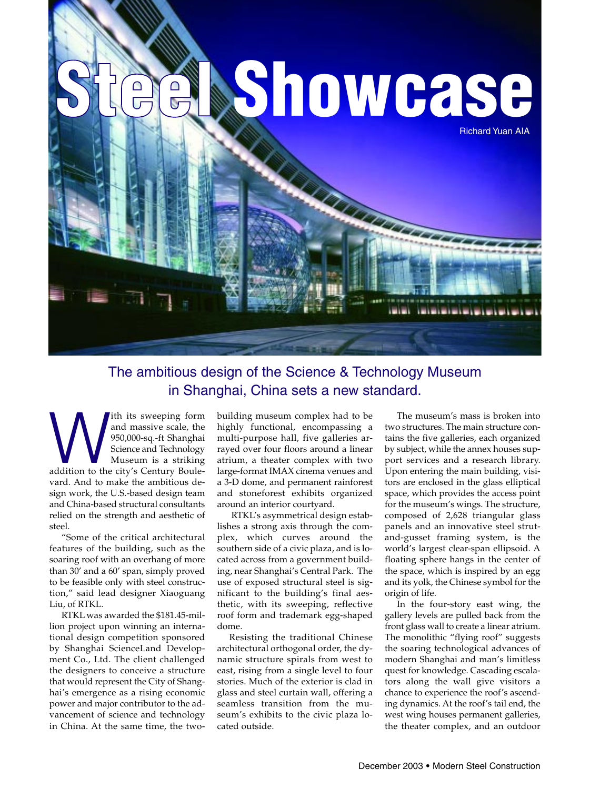

# The ambitious design of the Science & Technology Museum in Shanghai, China sets a new standard.

ith its sweeping form<br>
and massive scale, the<br>
950,000-sq.-ft Shanghai<br>
Science and Technology<br>
Museum is a striking<br>
addition to the city's Century Bouleand massive scale, the 950,000-sq.-ft Shanghai Science and Technology Museum is a striking vard. And to make the ambitious design work, the U.S.-based design team and China-based structural consultants relied on the strength and aesthetic of steel.

"Some of the critical architectural features of the building, such as the soaring roof with an overhang of more than 30' and a 60' span, simply proved to be feasible only with steel construction," said lead designer Xiaoguang Liu, of RTKL.

RTKL was awarded the \$181.45-million project upon winning an international design competition sponsored by Shanghai ScienceLand Development Co., Ltd. The client challenged the designers to conceive a structure that would represent the City of Shanghai's emergence as a rising economic power and major contributor to the advancement of science and technology in China. At the same time, the twobuilding museum complex had to be highly functional, encompassing a multi-purpose hall, five galleries arrayed over four floors around a linear atrium, a theater complex with two large-format IMAX cinema venues and a 3-D dome, and permanent rainforest and stoneforest exhibits organized around an interior courtyard.

RTKL's asymmetrical design establishes a strong axis through the complex, which curves around the southern side of a civic plaza, and is located across from a government building, near Shanghai's Central Park. The use of exposed structural steel is significant to the building's final aesthetic, with its sweeping, reflective roof form and trademark egg-shaped dome.

Resisting the traditional Chinese architectural orthogonal order, the dynamic structure spirals from west to east, rising from a single level to four stories. Much of the exterior is clad in glass and steel curtain wall, offering a seamless transition from the museum's exhibits to the civic plaza located outside.

The museum's mass is broken into two structures. The main structure contains the five galleries, each organized by subject, while the annex houses support services and a research library. Upon entering the main building, visitors are enclosed in the glass elliptical space, which provides the access point for the museum's wings. The structure, composed of 2,628 triangular glass panels and an innovative steel strutand-gusset framing system, is the world's largest clear-span ellipsoid. A floating sphere hangs in the center of the space, which is inspired by an egg and its yolk, the Chinese symbol for the origin of life.

In the four-story east wing, the gallery levels are pulled back from the front glass wall to create a linear atrium. The monolithic "flying roof" suggests the soaring technological advances of modern Shanghai and man's limitless quest for knowledge. Cascading escalators along the wall give visitors a chance to experience the roof's ascending dynamics. At the roof's tail end, the west wing houses permanent galleries, the theater complex, and an outdoor